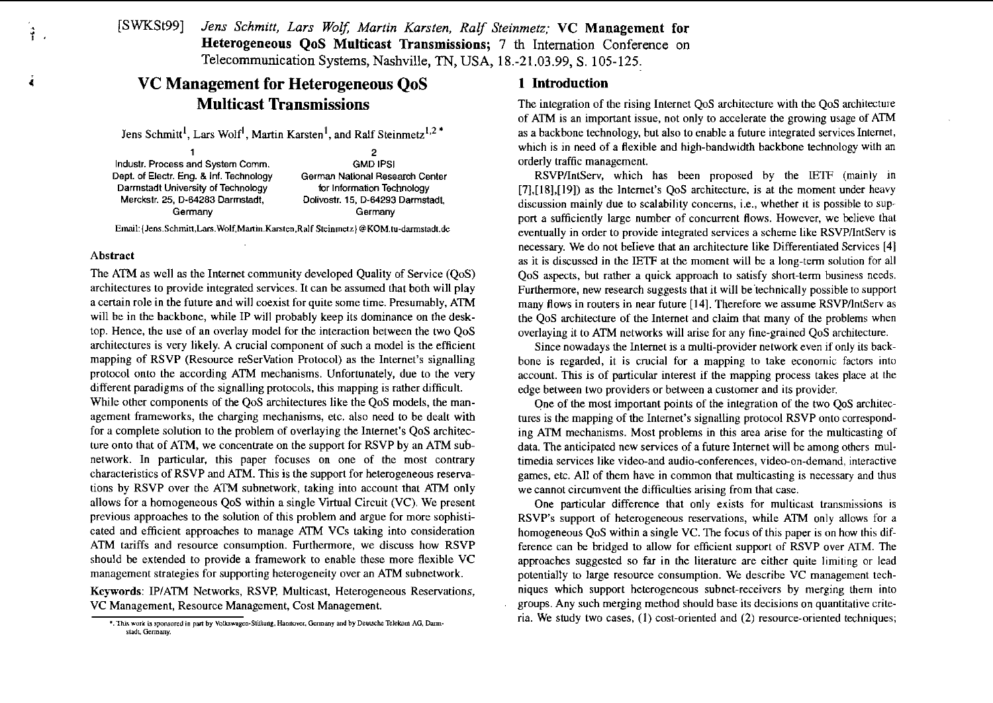I. [SWKSt99] *Jens Schmitt, Lars* **Wo&** *Martin Karsten, Raif Steinmetz; VC* **Management for Heterogeneous QoS Multicast Transmissions; 7** th Internation Conference on Telecommunication Systems, Nashville, TN, USA, 18.-21.03.99, S. 105-125.

# **i VC Management for Heterogeneous QoS 1 Intmduction**

| Industr. Process and System Comm.       | <b>GMD IPSI</b>                   |
|-----------------------------------------|-----------------------------------|
| Dept. of Electr. Eng. & Inf. Technology | German National Research Center   |
| Darmstadt University of Technology      | for Information Technology        |
| Merckstr, 25, D-64283 Darmstadt,        | Dolivostr. 15. D-64293 Darmstadt. |
| Germany                                 | Germany                           |

architectures to provide integrated services. It can be assumed that both will play Furthermore, new research suggests that it will be technically possible to support a certain role in the future and will coexist for quite a certain role in the future and will coexist for quite some time. Presumably, ATM many flows in routers in near future [14]. Therefore we assume RSVP/IntServ as will be in the backbone, while IP will probably keep its dom will be in the backbone, while IP will probably keep its dominance on the desk-<br>top. Hence, the use of an overlay model for the interaction between the two OoS overlaving it to ATM networks will arise for any fine-grained top. Hence, the use of an overlay model for the interaction between the two QoS overlaying it to ATM networks will arise for any fine-grained QoS architecture.<br>architectures is very likely. A crucial component of such a mo architectures is very likely. A crucial component of such a model is the efficient Since nowadays the Internet is a multi-provider network even if only its back-<br>mapping of RSVP (Resource reSerVation Protocol) as the Inter mapping of RSVP (Resource reSerVation Protocol) as the Internet's signalling bone is regarded, it is crucial for a mapping to take economic factors into protocol onto the according ATM mechanisms. Unfortunately, due to the different paradigms of the signalling protocols, this mapping is rather difficult. edge between two providers or between a customer and its provider.

While other components of the QoS architectures like the QoS models, the man-<br>agement frameworks, the charging mechanisms, etc. also need to be dealt with tures is the mapping of the Internet's signalling protocol RSVP ont agement frameworks, the charging mechanisms, etc. also need to be dealt with tures is the mapping of the Internet's signalling protocol RSVP onto correspond-<br>for a complete solution to the problem of overlaying the Interne for a complete solution to the problem of overlaying the Internet's QoS architec-<br>time onto that of ATM, we concentrate on the support for RSVP by an ATM sub-<br>data. The anticipated new services of a future Internet will be ture onto that of ATM, we concentrate on the support for RSVP by an ATM sub-<br>
network. In particular, this paper focuses on one of the most contrary timedia services like video-and audio-conferences, video-on-demand, inter characteristics of RSVP and ATM. This is the support for heterogeneous reserva- games, etc. All of them have in common that multicasting is necessary and thus tions by RSVP over the ATM subnetwork, taking into account that ATM only we cannot circurnvent the difficulties arising from that case. allows for a homogeneous QoS within a single Virtual Circuit (VC). We present One particular difference that only exists for multicast transmissions is previous approaches to the solution of this problem and argue for more previous approaches to the solution of this problem and argue for more sophisti-<br>
RSVP's support of heterogeneous reservations, while ATM only allows for a<br>
cated and efficient approaches to manage ATM VCs taking into cons cated and efficient approaches to manage ATM VCs taking into consideration homogeneous QoS within a single VC. The focus of this paper is on how this dif-<br>ATM tariffs and resource consumption. Furthermore, we discuss how R ATM tariffs and resource consumption. Furthermore, we discuss how RSVP ference can be bridged to allow for efficient support of RSVP over ATM. The should be extended to provide a framework to enable these more flexible VC should be extended to provide a framework to enable these more flexible VC approaches suggested so far in the literature are either quite limiting or lead management strategies for supporting heterogeneity over an ATM subn

VC Management, Resource Management, Cost Management. General method should base its decisions on quantitative crite-

**Multicast Transmissions** The integration of the rising Internet QoS architecture with the QoS architecture of ATM is an important issue, not only to accelerate the growing usage of ATM Jens Schmitt<sup>1</sup>, Lars Wolf<sup>1</sup>, Martin Karsten<sup>1</sup>, and Ralf Steinmetz<sup>1,2\*</sup> as a backbone technology, but also to enable a future integrated services Internet, which is in need of a flexible and high-bandwidth backbone technology with an orderly traffic management.

RSVP/IntServ, which has been proposed by the IETF (mainly in  $[7]$ ,  $[18]$ ,  $[19]$ ) as the lnternet's OoS architecture, is at the moment under heavy Merckstr. 25, D-64283 Darmstadt, Dollvostr. 15, D-64293 Darmstadt, discussion mainly due to scalability concerns, i.e., whether it is possible to sup-<br>Germany Germany Germany (Dermany Germany Sermany Sermany Dermany Serman eventually in order to provide integrated services a scheme like RSVP/IntServ is necessary. We do not believe that an architecture like Differentiated Services [4]<br>as it is discussed in the IETF at the moment will be a long-term solution for all The ATM as well as the Internet community developed Quality of Service (QoS) QoS aspects, but rather a quick approach to satisfy short-term business needs.<br>architectures to provide integrated services. It can be assumed th

account. This is of particular interest if the mapping process takes place at the

timedia services like video-and audio-conferences, video-on-demand, interactive

potentially to large resource consumption. We describe VC management tech-Kcywords: IP/ATM Networks, RSVP, Multicast, Heterogeneous Reservations, miques which support heterogeneous subnet-receivers by merging them into \*. This work is sponsored in part by Volkswagen-Stiftung, Hannover, Germany and by Deutsche Telekom AG, Darm-<br>\*. This work is sponsored in part by Volkswagen-Stiftung, Hannover, Germany and by Deutsche Telekom AG, Darm-

stadt, **Germany**.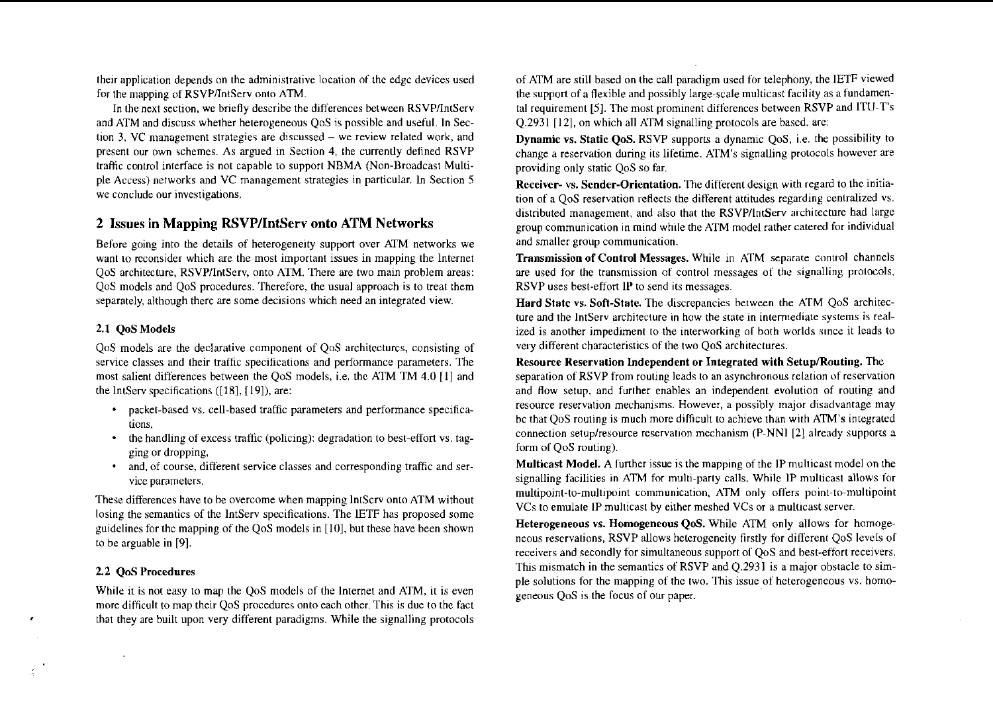iheir application depends on the administrative location af thc edgc devices used for the mapping of RSVP/IntServ onto ATM.

In the next section, we briefly describe the differences between RSVP/IntServ and ATM and discuss whether heterogeneous QoS is possible and useful. In Section 3, VC management strategies are discussed - we review related work, and present our own schemes. As argued in Section 4, the currently defined RSVP trafiic control interface is not capable to suppori NBMA (Non-Broadcast Multiple Access) nerworks and VC management strategies in particular. In Section 5 we conclude our investigations.

# **2 Issues in Mapping RSVPAntServ onto ATM Networks**

Before going into the details of heterogeneity support over ATM networks we want to reconsider which are the most important issues in mapping the Internet QoS architecture, RSVP/IntServ, onto ATM. There are two main problem areas: QoS models and QoS procedures. Therefore, the usual approach is to treat them separately, although therc are some decisions which need an integrated view.

#### **2.1** QoS Models

QoS models are the declarative component of QoS architccturcs, consisting of service classes and their traffic specifications and performance parameters. The most salient differences between the QoS models, i.e. the ATM TM 4.0 [1] and the lntServ specifications ([18], [19]), are:

- packet-based vs. cell-based traffic parameters and performance specifications,
- the handling of excess trafic (policing): degradation to best-effort vs. tag- $\bullet$ ging or dropping,
- and, of course, different service classes and corresponding traffic and service parameters.

These differences have to be overcome when mapping lntScrv onto ATM without losing the semantics of the lntServ specifications. The lETF has proposed some guidelincs for thc mapping of the QoS models in [IO], but these have been shown to be arguable in [9].

# **2.2** QoS Procedures

While it is not easy to map the QoS models of the Internet and ATM, it is even more difficult to map their QoS procedures onto each other. This is due to the fact that they are built upon very different paradigms. While the signalling protocols of ATM are still based on the call paradigm used for telephony, the IETF viewed the suppori of a flexible and possibly large-scale multicast facility as a fundamental requirement [SI. The most prominent differences between RSVP and ITU-T's 4.2931 [12], on which all ATM signalling protocols are based. are:

Dynamic vs. Static QoS. RSVP supports a dynamic QoS. i.e. the possibility to change a reservation during its lifetime. ATM's signalling protocols however are providing only static QoS so far.

Receiver- vs. Sender-Orientation. The different design with regard to thc initiation of a OoS reservation reflects the different attitudes regarding centralized vs. distributed management, and also that the RSVP/IntServ architecture had large group communication in mind while the ATM model rather catered for individual and smaller group communication.

Transmission of Control Messages. While in ATM separate control channels are used for the transmission of control messages of the signalling protocols, RSVP uses best-effort IP to send its messages.

Hard Statc vs. Soft-State. The discrepancies between the ATM QoS architecture and the IntServ architecture in how the state in intermediate systems is realized is another impediment to the interworking of both worlds since it leads to very different characteristics of the two QoS architectures.

Resource Reservation Independent or Integrated with Setup/Routing. The separation of RSVP from routing leads to an asynchronous relation of reservation and flow setup. and furiher enables an independent evolution of routing and resource reservation mechanisms. However, a possibly major disadvantage may bc that QoS routing is much more difficult to achieve than with ATM's integrated connection setuplresource reservalion mechanism (P-NNI [2] already supports a form of QoS routing).

Multicast Model. A further issue is the mapping of the IP multicast model on the signalling facilities in ATM for mulii-party calls. Whilc 1P multicast allows for multipoint-to-multipoint communication, ATM only offers point-to-multipoint VCs to emulate 1P multicast by either meshed VCs or a multicast server.

Heterogeneous vs. Homogeneous QoS. While ATM only allows for homogeneous rescrvations, RSVP allows heterogeneity firstly for different QoS levels of receivers and secondly for simultaneous support of QoS and best-effort receivers. This mismatch in the semantics of RSVP and Q.2931 is a major obstacle to simple solutions for the mapping of the two. This issue of heterogeneous vs. homogeneous QoS is the focus of our paper.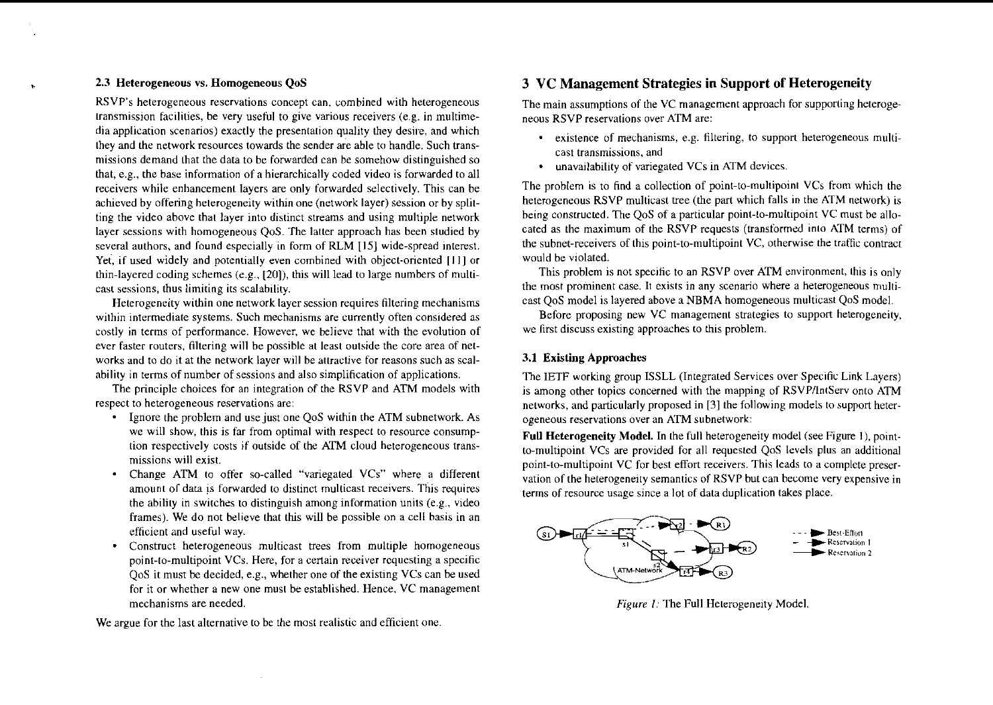# **2.3** Heterogeneous vs. Homogeneous QoS

RSVP's heterogeneous reservations concept can. combined with heterogeneous transmission facilities, be very useful to give various receivers (e.g. in multimedia application scenarios) exactly the presentation quality they desire, and which they and the network resources towards the sender are able to handle. Such transmissions demand that the data to be forwarded can be somehow distinguished so that, e.g., the base information of a hierarchically coded video is forwarded to all receivers while enhancement layers are only forwarded selectively. This can be achieved by offering heterogeneity within one (network layer) session or by splitting the video above that layer into distinct streams and using multiple network layer sessions with homogeneous QoS. The latter approach has been studied hy several authors, and found especially in form of RLM [15] wide-spread interest. Yet, if used widely and potentially even combined with object-oriented [11] or thin-layered coding schemes (e.g., [20]), this will lead to large numbers of multicast sessions, thus limiting its scalability.

Heterogeneity within one network layer session requires filtering mechanisms within intermediate systems. Such mechanisms are currently often considered as costly in terms of performance. However, we believe that with the evolution of ever faster routers, filtering will be possible at least outside the core area of networks and to do it at the network layer will be attractive for reasons such as scalability in terms of number of sessions and also simplification of applications.

The principle choices for an integration of the RSVP and ATM models with respect to heterogeneous reservations are:

- Ignore the problem and use just one QoS within the ATM subnetwork. As we will show, this is far from optimal with respect to resource consumption respectively costs if outside of the ATM cloud heterogeneous transmissions will exist.
- Change ATM to offer so-called "variegated VCs" where a different amount of data is forwarded to distinct multicast receivers. This requires the ability in switches to distinguish among information units (e.g., video frames). We do not believe that this will be possible on a cell basis in an efficient and useful way.
- Construct heterogeneous multicast trees from multiple homogeneous point-to-multipoint VCs. Here, for a certain receiver rcquesting a specific QoS it must he decided, e.g., whether one of the existing VCs can he used for it or whether a new one must be established. Hence, VC management mechanisms are needed.

We argue for the last alternative to be the most realistic and efficient one.

# **3 VC Management Strategies in Support of Heterogeneity**

The main assumptions of the VC management approach for supporting heterogeneous RSVP reservations over ATM are:

- . existence of mechanisms, e.g. filtering, to support heterogeneous multicast transmissions, and
- unavailability of variegated VCs in ATM devices.

The problem is to find a collection of point-to-multipoint VCs from which the heterogeneous RSVP multicast tree (the part which falls in the ATM network) is heing constructed. The QoS of a particular point-to-multipoint VC must be allocated as the maximuni of the RSVP requests (transformed into ATM terms) of the subnet-receivers of this point-to-multipoint VC, otherwise the traffic contract would be violated.

This problem is not specihc to an RSVP over ATM environment, this is only the most prominent case. It exists in any scenario where a heterogeneous multi-Cast QoS model is layered above a NBMA homogeneous multicast QoS model.

Before proposing new VC management strategies to support heterogeneity, we first discuss existing approaches to this problem.

### **3.1** Existing Approaches

The lETF working group ISSLL (Integrated Services over Specific Link Layers) is mong other topics concerned with the mapping of RSVPIlntServ onto ATM networks, and particularly proposed in [3] the following models to support heterogeneous reservations over an ATM subnetwork:

Full Heterogeneity Model. In the full heterogeneity model (see Figure 1), pointto-multipoint VCs are provided for all requested QoS levcls plus an additional point-10-multipoint VC for best effort receivers. This leads to a complete preservation of the heterogeneity semantics of RSVP but can hecome very expensive in tems of resource usage since a lot of data duplication takes place.



**Figure** I: The Full Heterogeneity Model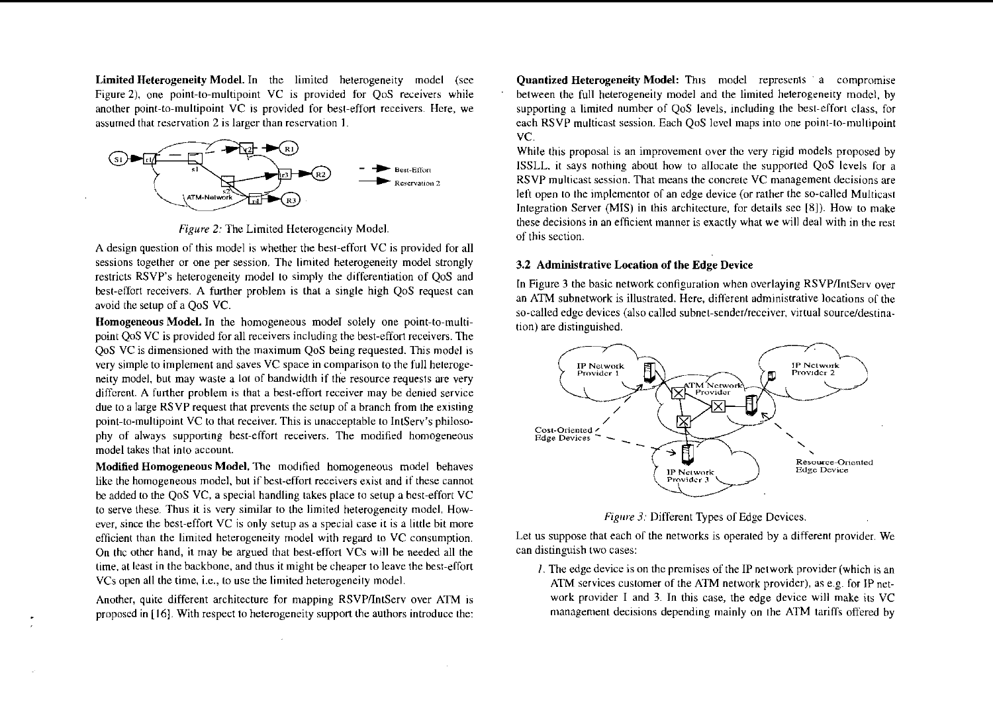Limited Heterogeneity Model. In the limited heterogeneity model (see Figure **2),** one point-to-multipoint VC is provided for QoS receivers while another point-10-multipoint VC is provided for hest-effori receivers. Hcre, we assumed that reservation 2 is larger than reservation 1



*Figure* 2: The Limited Heterogeneiiy Model.

A design question of this model is whether the best-effort VC is provided for all sessions together or one per session. The limited heterogeneity model strongly restricts RSVP's heterogeneity model to simply the differentiation of QoS and best-effort receivers. A further problem is that a single high QoS request can avoid the setup of a QoS VC.

Homogeneous Model. In the homogeneous model solely one point-to-multipoint QoS VC is provided for all receivers including the best-effort receivers. The QoS VC is dimensioned with the maximum QoS being requested. This model is very simple to implement and saves VC space in comparison to the full heierogcneity model, but may waste a lot of bandwidth if the resource requests arc very different. A further prohlem is that a hest-effort receiver may be denied service due to a large RSVP request that prevents the setup of a branch from the existing point-to-multipoint VC to thai receiver. This is unacceptahle to IntServ's philosophy of always supporting best-effort receivers. The modified homogeneous model takes that inlo account.

Modified Homogeneous Model. 7hc modified homogeneous model hehaves like the homogeneous model, hut if hest-effort receivers exist and if these cannot be added to the QoS VC, a special handling takes place to setup a best-effort VC to serve Lhese. Thus it is very similar to the limited heterogeneity model. However, since the best-effort VC is only setup as a special case it is a little bit more cfficient than the limited heterogeneity model with regard to VC consumption. On thc other hand, it may he argued that best-effort VCs will he needed all the time. at least in the hackhone, and thus it might be cheaper to leave the best-erfort VCs Open all the time, i.c., lo usc the limited heterogeneity model.

Another, quite different architecture for mapping RSVPlIntServ over ATM is proposed in 1161. With respect to heterogeneity support the authors introduce the:

**Quantized Heterogeneity Model:** This model represents a compromise between the full heterogeneity model and the limited heterogeneity model, by supporting a limited number of OoS levels, including the best-effort class, for each RSVP multicast session. Each QoS level maps into one point-to-multipoint VC.

While this proposal is an improvement over the very rigid models proposed by ISSLL. it says nothing about how to alIocate the supported QoS levels for a RSVP multicast session. That means the concrete VC management decisions are left Open to the implementor of an edge device (or rather the so-called Multicast Integration Server (MIS) in this architecture, for details sec [81). How to make these decisions in an efficient manner is exactly what we will deal with in the rest of this section.

#### **3.2** Administrative Location of the Edge Device

In Figure **3** the hasic network configuraiion when overlaying RSVPlIntServ over an ATM suhnetwork is illustrated. Hcre, difterent administrative locations or the so-called edge devices (also called subnet-sender/receiver, virtual source/destination) are distinguished.



Figure 3: Different Types of Edge Devices.

Let us suppose that each of the networks is operated by a different provider. We can distinguish two cases:

*I*. The edge device is on the premises of the IP network provider (which is an ATM services customer of the ATM network provider), as e.g. for IP network provider I and **3.** In this case, the edge device will make its VC management decisions depending mainly on the ATM tariffs offered by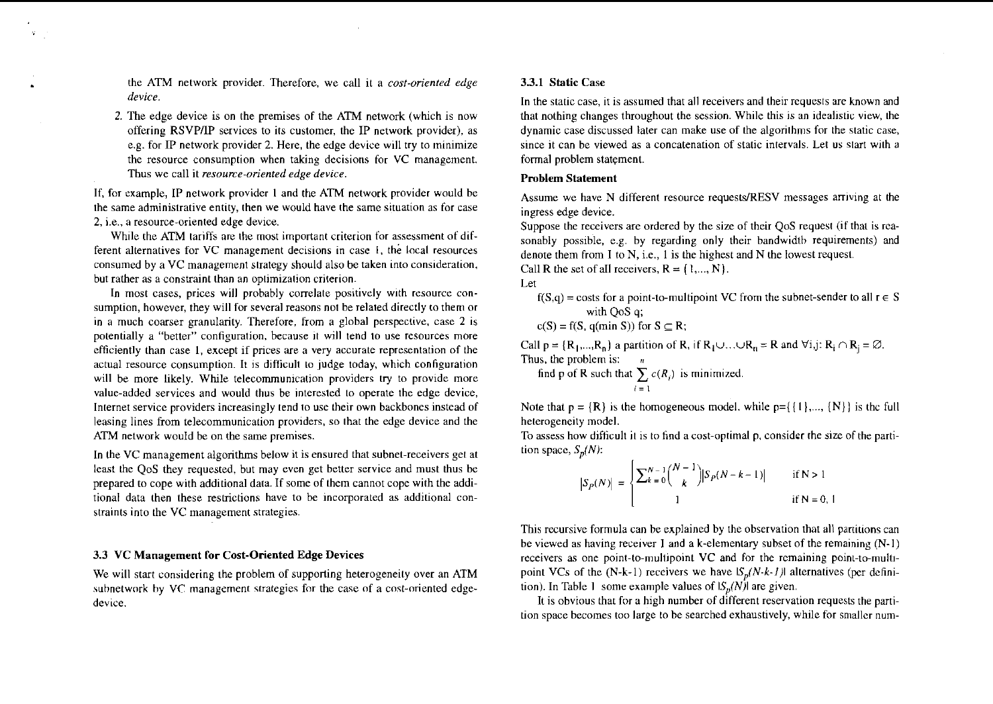the ATM network provider. Therefore. we call it a *cost-oriented edge device.* 

 $\mathcal{A}^{\prime}$ 

**2.** The edge device is on the premises of the ATM network (which is now offering RSVPflP services to its customer, the IP network provider), as e.g. for IP network provider 2. Here, the edge device will try to minimize the resource consumption when taking decisions for VC management. Thus we call it *resource-oriented edge device.* 

If, for example, IP network provider 1 and the ATM network provider would be the same administrative entity, then we would have the same situation as for case **2,** i.e., a resource-oriented edge device.

While the ATM tariffs are the most important criterion for assessment of different alternatives for VC management decisions in case 1, the local resources consumed by a VC management strategy should also be taken into consideration, but rather as a constraint than an optimization criterion.

In most cases, prices will probably correlate positively with resource consumption, however, they will for several reasons not be related directly to them or in a much coarser granularity. Therefore, from a global perspective, case 2 is potentially a "hetter" configuration. hecause it will tend to use resources more efficiently than case **1.** except if prices are a very accurate representarion of the actual resource consumption. It is difiicult to judge today, which configuration will be more likely. While telecommunication providers try to provide more value-added services and would thus he interested to operate the edge device, Internet service providers increasingly tend to use their own backbones instead of leasing lines from telecommunication providers, so that the edge device and the ATM network would be on the same premises.

In the VC management algorithms below it is ensured that subnet-receivers get at least the QoS they requested, but may even get better service and must thus he prepared to cope with additional data. If some of them cannot cope with the additional data then these restrictions have to be incorporated as additional constraints into the VC management strategies.

#### **3.3** VC Management for Cost-Oriented Edge Devices

We will start considering the problem of supporting heterogeneity over an ATM subnetwork by VC management strategies for the case of a cost-oriented edgedevice.

#### **3.3.1** Static Case

In the static case, it is assumed that all receivers and their rcquesls are known and that nothing changes throughout the session. While this is an idealistic view, the dynamic case discussed later can make use of the algorithnis for the static case, since it can be viewed as a concatenation of static intervals. Let us start with a formal problem statement.

#### Problem Statement

Assume we have N different resource requests/RESV messages arriving at the ingress edge device.

Suppose the receivers are ordered by the size of their QoS request (if that is rcasonably possible, e.g. by regarding only their bandwidth requirements) and denote them from I to N, i.e., 1 is the highest and N the lowest request.

Call R the set of all receivers,  $R = \{1, \ldots, N\}$ .

Let

 $f(S,q) = \text{costs}$  for a point-to-multipoint VC from the subnet-sender to all  $r \in S$ with QoS q;

$$
c(S) = f(S, q(\min S))
$$
 for  $S \subseteq R$ ;

Call  $p = {R_1,...,R_n}$  a partition of R, if  $R_1 \cup ... \cup R_n = R$  and  $\forall i,j$ :  $R_i \cap R_i = \emptyset$ . Thus, the problem is:

find p of R such that  $\sum_{i=1}^{\infty} c(R_i)$  is minimized.

Note that  $p = \{R\}$  is the homogeneous model, while  $p = \{\{1\},..., \{N\}\}\$ is the full heterogeneity model.

To assess how difficult it is to find a cost-optimal p, consider the size of the partition space,  $S_p(N)$ :

$$
|S_P(N)| = \begin{cases} \sum_{k=0}^{N-1} {N-1 \choose k} |S_P(N-k-1)| & \text{if } N > 1 \\ 1 & \text{if } N = 0, 1 \end{cases}
$$

This recursive formula can he explained by the observation that all partitions can be viewed as having receiver I and a k-elementary subset of the remaining (N-I) receivers as one point-to-multipoint VC and for the remaining point-to-multipoint VCs of the (N-k-1) receivers we have  $|S_n(N-k-1)|$  alternatives (per definition). In Table 1 some example values of  $|S_n(N)|$  are given.

It is obvious that for a high number of different reservation requests the partition space becomes too large tobe searched exhaustively, while for smaller num-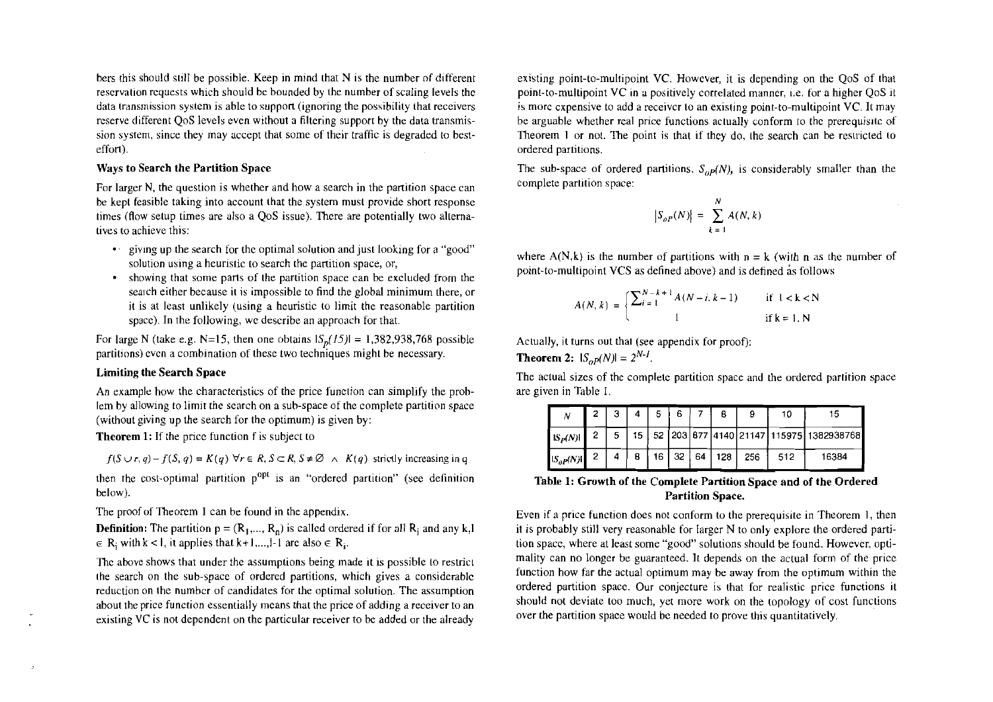bers this should still be possible. Keep in mind that N is the number of different rescrvation requests which should be bounded by the number of scaling levels the data transmission system is able to support (ignoring the possibility that receivers rcserve different QoS levels even without a filtering support by the data transmission sysiern, since they may accept that some of their traffic is degraded to besteffort).

#### **Ways to Search the Partition Space**

For larger N, the question is whether and how a search in the partition space can be kepi feasible taking into account that the system must provide short response times (flow setup times are also a  $\cos$  issue). There are potentially two alternatives to achieve this:

- $\bullet$  giving up the search for the optimal solution and just looking for a "good" solution using a heuristic to search the partition space, or,
- showing that some paris of the partition space can be excluded from the search either because it is impossible to find the global minimum there, or it is at least unlikely (using a heuristic to limit the reasonable partition spacc). In the following, we describe an approach for that.

For large N (take e.g. N=15, then one obtains  $|S_n(15)| = 1,382,938,768$  possible partitions) even a combination of these two techniques might be necessary.

# **Limiting the Search Space**

**An** example how the characteristics of the price funciion can simplify the prohlem by allowing to limit the scarch on a sub-space of the complete partition space (without giving up the search for the optimum) is given by:

**Theorem 1:** If the price function f is subject to

 $f(S \cup r, q) - f(S, q) = K(q) \,\forall r \in R$ ,  $S \subset R$ ,  $S \neq \emptyset \land K(q)$  strictly increasing in q

then the cost-optimal partition  $p^{opt}$  is an "ordered partition" (see definition below).

The proof of Theorcm 1 can be found in the appendix.

**Definition:** The partition  $p = (R_1, ..., R_n)$  is called ordered if for all R<sub>i</sub> and any k,l  $\in$  R<sub>i</sub> with k < I, it applies that k+1,...,1-1 are also  $\in$  R<sub>i</sub>.

The above shows that under the assumptions being made it is possible to restrict ihe search on the sub-spacc of ordered partitions, which gives a considerablc reduction on ihe numbcr of candidates for the optimal solution. The assumption about the price function essentially mcans that the price of adding a receiver to an existing VC is not dependent on the particular receiver to be added or the already

existing point-to-multipoint **VC.** Howcver, it is depending on the QoS of that poinl-to-multipoint **VC** in a positively correlated manncr, 1.e. for a higher QoS it **is** morc cxpensive to add a receivcr io an existing poini-to-multipoint **VC.** It rnay be arguable whether real price functions actually conform to the prerequisite of Theorem 1 or not. The point is that if they do, the search can be restricted to ordered partitions.

The sub-space of ordered partitions,  $S_{\alpha P}(N)$ , is considerably smaller than the complete partition space:

$$
S_{\rho P}(N) = \sum_{k=1}^{N} A(N, k)
$$

where A(N,k) is the number of partitions with  $n = k$  (with n as the number of point-to-multipoint **VCS** as defined above) and is detined **is** follows

$$
A(N,k) = \begin{cases} \sum_{i=1}^{N-k+1} A(N-i,k-1) & \text{if } 1 < k < N \\ 1 & \text{if } k = 1, N \end{cases}
$$

Actually. it turns out thai (see appendix for proof):

**Theorem 2:**  $|S_{op}(N)| = 2^{N-1}$ .

The actual sizes of the complete partition space and the ordered partition space are given in Table 1

|                   |   | 4 | 5 |       |    |     |     | 10  | 15                                                       |
|-------------------|---|---|---|-------|----|-----|-----|-----|----------------------------------------------------------|
| $ S_P(N) $        | 5 |   |   |       |    |     |     |     | 15   52   203   877   4140   21147   115975   1382938768 |
| $ S_{\rho P}(N) $ | 4 | 8 |   | 16 32 | 64 | 128 | 256 | 512 | 16384                                                    |

### **Table 1: Growth of the Complete Partition Space and of the Ordered Partition Space.**

Even if **n** pricc function does not conform to the prerequisite in Theorem 1, then it is probably still very reasonable for larger N to only explore the ordered partition space, where at least some "good" solutions should be found. However, optimality can no Ionger be guaranteed. It depends on the actual form of the pricc function how far the actual optimum may be away from the optimum within the ordered partition spacc. Our conjecture is that for realistic price functions it should not deviate too much, yet more work on the topology of cost functions over the partition space would be needed to prove this quantitatively.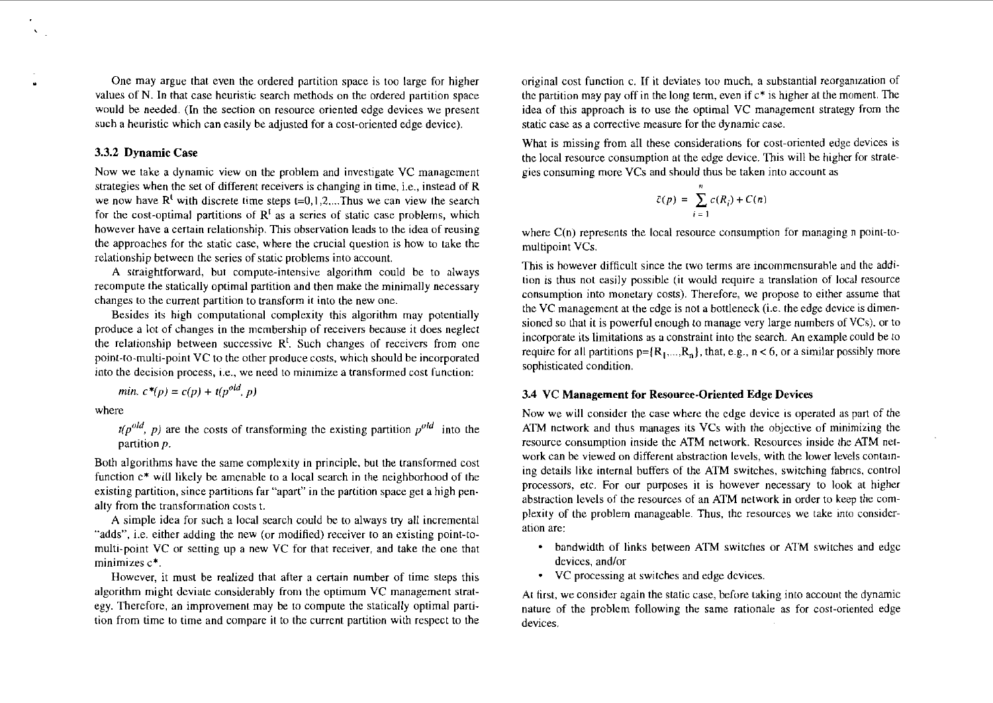One may argue that even the ordered partition space is too large for higher values of N. In that case heuristic search methods on the ordered partition space would he needed. (In the section on resource oricnted edge devices we present such a heuristic which can easily be adjusted for a cost-oriented edge device).

#### **3.3.2 Dynamic Case**

Now we take a dynamic view on the problem and invcstigate VC managcment strategies when the set of different receivers is changing in time, i.e., instead of R we now have  $R^t$  with discrete time steps t=0,1,2....Thus we can view the search for the cost-optimal partitions of  $R<sup>t</sup>$  as a series of static case problems, which however have a certain relationship. This observation leads to the idea of reusing the approaches for the static case, where the crucial quesiion is how to take the relationship between the series of static problems into account.

A straightforward, but compute-intensive algorithm could be to always recompute the statically optimal partition and then make the minimally necessary changes to the current partition to transform it into the new one.

Besides its high computational complexity this algorithm may potentially produce a lot of changes in the membership of receivers because it does neglect the relationship between successive  $R<sup>t</sup>$ . Such changes of receivers from one point-to-multi-point VC to the other produce costs, which should be incorporated into the decision process, i.e., we need to mintmize a transformed cost function:

*min.*  $c^*(p) = c(p) + t(p^{old}, p)$ 

where

 $t(p^{old}, p)$  are the costs of transforming the existing partition  $p^{old}$  into the partition p.

Both algoriihms have the same complexity in principle, but the transformed cost function  $c^*$  will likely be amenable to a local search in the neighborhood of the existing partition, since partitions far "apart" in the partition space get a high penalty from the transformation costs t.

**A** simple idea for such a local search could he to always try all incremental "adds", i.e. either adding the new (or modified) receiver 10 an existing point-tomulti-point VC or setting up a new VC for that receiver, and take the one that minimizes  $c^*$ .

However, it must be realized that after a certain number of time steps this algorithm might deviate considerably from the optimum VC management strategy. Therefore, an improvement may be to compute the statically optimal partition from time to time and comparc it to the current partition with respect to the original cost function c. If it deviates too much, a substantial reorganization of the partition may pay off in the long term, even if  $c^*$  is higher at the moment. The idea of this approach is to use the optimal VC management strategy from the static case as a corrective measure for the dynamic case.

What is missing from all these considerations for cost-oriented edge devices is the local resource consumption at the edge device. This will be higher for stralegies consuming more VCs and should thus be taken into account as

$$
\bar{c}(p) = \sum_{i=1}^{n} c(R_i) + C(n)
$$

where  $C(n)$  represents the local resource consumption for managing n point-tomultipoint VCs.

This is however difficult since the two terms are incommensurable and the addition is thus not easily possible (it would require a translation of local resource consumption into monetary costs). Therefore, we propose to either assume that the VC management at the edge is not a bottleneck (i.e. the edge device is dimensioned so that it is powerful enough to manage very large numbers of VCs). or to incorporate its limitations as a constraint into the search. An example could be to require for all partitions  $p = \{R_1, ..., R_n\}$ , that, e.g.,  $n < 6$ , or a similar possibly more sophisticated condition.

#### 3.4 VC **Management for Resouree-Oriented Edge Devices**

Now we will consider the case where the edge device is operated as part of the ATM network and thus manages its VCs with the objective of minimizing the resource consumption inside the ATM network. Resources inside the ATM network can be viewed on different abstraction levels, with the lower levels containing details like internal buffers of the ATM switches, switching fahrics. control processors, etc. For our purposes it is however necessary to look at higher abstraction levels of the resources of an ATM neiwork in order to keep the complexity of the problem manageable. Thus, thc resources we take into consideration are:

- bandwidth of links between ATM switches or ATM switches and edgc devices, and/or
- VC processing at switches and edge devices.

At first, we consider again the static case, before taking into account the dynamic nature of the prohlem following the same rationale as for cost-oriented edge devices.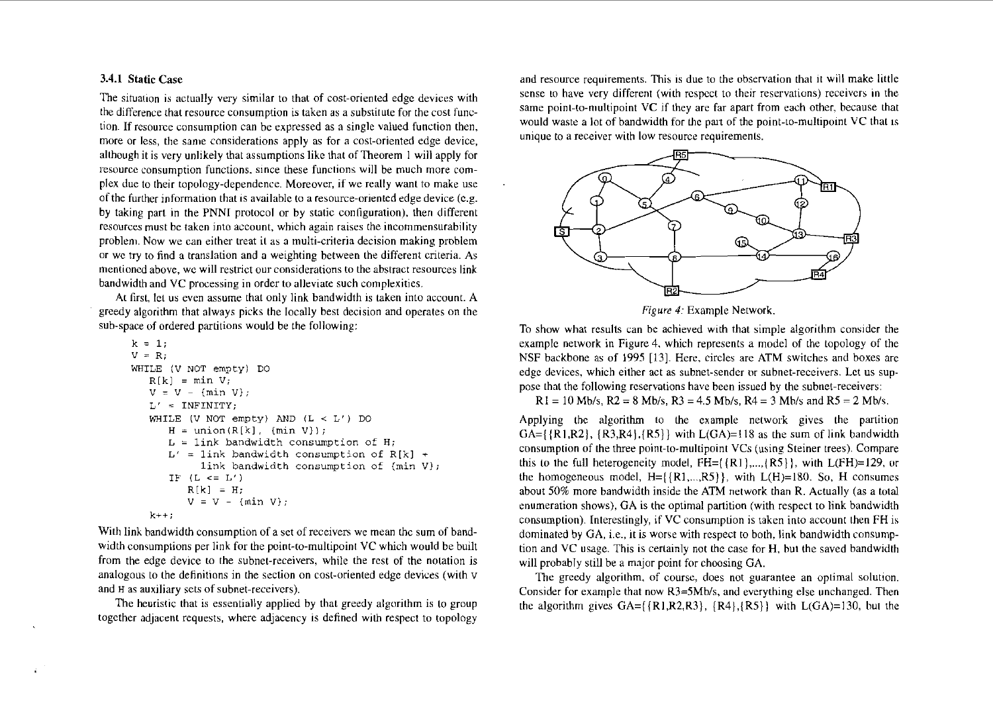#### **3.4.1 Static Case**

The situation is actually very similar to that of cost-oriented edge devices with the difference that resource consumption is taken as a substitute for the cost function. If resource consumption can be expressed as a single valued function then, more or less, the same considerations apply as for a cost-oriented edge device, alihough it is very unlikely that assumptions like ihat of Theorem 1 will apply for resource consumption functions, since these functions will be much more complex due to their topology-dependence. Moreover, if we really Want to make use of the further information that is available to a resource-orienied edge device (e.g. by taking part in the PNNI protocol or by static configuration), then different resources must be taken into account, which again raises the incommensurability probleni. Now we can eiiher ireat ii as a multi-criteria decision making problem or wc try to find a translation and a weighting between the different criteria. As mentioncd above, wc will restrict our considerations to the abstract resources link bandwidth and VC processing in order to alleviate such complexities.

At first, let us even assume that only link bandwidth is taken into account. A grcedy algorithm that always picks the locally best decision and operates on the sub-space of ordered partitions would be the following:

```
k = 1;
V = R;
WHILE (V NOT empty) DO
  R[k] = min V;V = V - \{min V\};L' = INFINITEWHILE (V NOT empty) AND (L < L') DO
     H = union(R[k], (min V));L = 1ink bandwidth consumption of H;
     L' = 1ink bandwidth consumption of R[k] +
           link bandwidth consumption of {min V]; 
     IF (L \leq L')R[k] = H;V = V - \{min V\};
  k++;
```
With link bandwidth consumption of a set of receivers we mean the sum of bandwidth consumptions per link for the point-to-multipoini VC which would be built from the edge device to ihe subnet-receivers, while the rcst of the nolation is analogous to the definitions in the section on cost-oriented edge devices (with V and H as auxiliary sets of subnet-receivers).

The heuristic that is essentially applied by that greedy algorithm is to group together adjacent requests, where adjacency is defined with respect to topology

and resource requirements. This is due to the observation that it will make little sense to have very different (with rcspcct to their reservations) receivcrs in the same point-to-multipoint  $VC$  if they are far apart from each other, because that would waste a lot of bandwidth for the part of the point-to-multipoint VC that is unique to a receiver with low resource requiremcnls.



Figure 4: Example Network.

To show what results can be achieved wich that simple algorithm consider the example network in Figure 4. which represents a model of the topology of the NSF backbone as of 1995 [13]. Here, circles are ATM switches and boxes are edge devices, which either act as subnet-sender or subnet-receivers. Lct us suppose that the following reservations have been issued by the subnet-receivers:

 $R1 = 10$  Mb/s,  $R2 = 8$  Mb/s,  $R3 = 4.5$  Mb/s,  $R4 = 3$  Mb/s and  $R5 = 2$  Mb/s.

Applying thc algorithm to the example netwoik gives the partition  $GA={R1,R2}, {R3,R4}, {R5}$  with  $L(GA)=118$  as the sum of link bandwidth consumption of the three point-to-multipoint VCs (using Steiner trees). Compare this to the full heterogeneity model.  $FH=\{R1\}$ ,...; $\{RS\}\}$ , with  $L(FH)=129$ , or the homogeneous model,  $H=\{\{R1,...,R5\}\}\$ , with  $L(H)=180$ . So, H consumes about 50% morr bandwidth inside the ATM network than R. Actually (as a total enumeration shows), GA is the optimal partition (with respect to link bandwidth consumption). Interestingly, if VC consumption is taken into account ihen FH is dominated by GA, i.e., it is worse with respect to both. link bandwidth consumption and VC usage. This is cerlainly not the case for H, hui the saved bandwidth will probably still be a major point for choosing GA.

The greedy algorithm, of course, does not guarantee an optimal solution. Consider for example that now R3=SMb/s, and everything else unchanged. Then the algorithm gives  $GA = \{R1, R2, R3\}$ ,  $\{R4\}, \{R5\}$  with  $L(GA) = 130$ , but the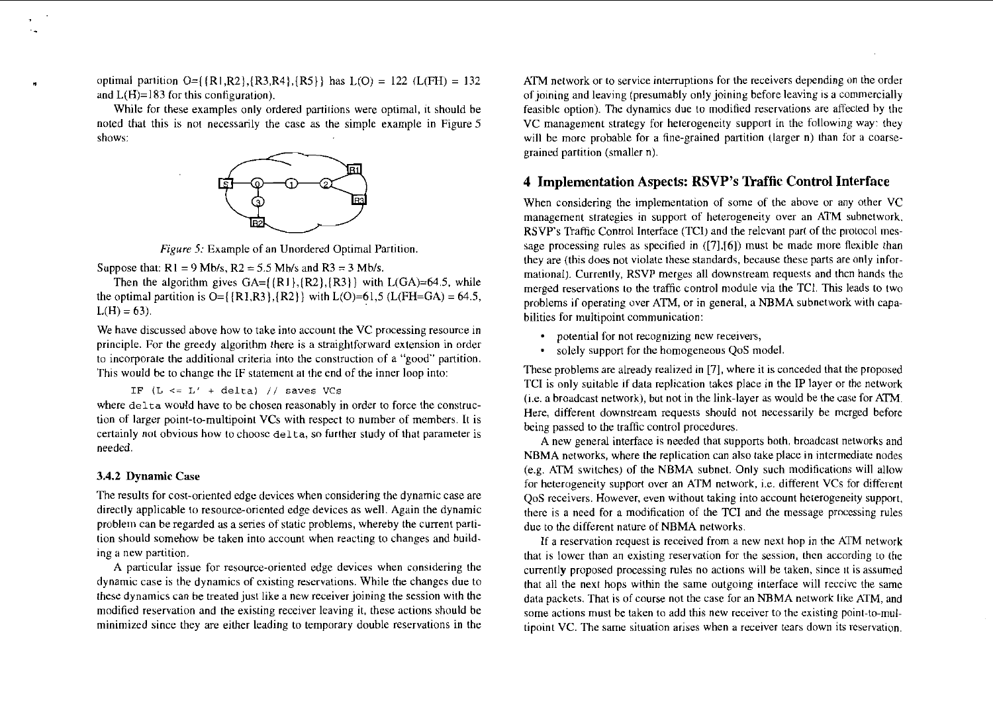optimal partition  $O = \{ (R1, R2), (R3, R4), (R5) \}$  has  $L(O) = 122$  (L(FH) = 132 and  $L(H)=183$  for this configuration).

While for these examples only ordered partitions were optimal, it should be noted that this is not necessarily the case as the simple example in Figure 5 shows:



Figure **5:** Example of an Unordered Optimal Partition.

Suppose that:  $R1 = 9$  Mb/s,  $R2 = 5.5$  Mb/s and  $R3 = 3$  Mb/s.

Then the algorithm gives  $GA=[R1], [R2], [R3]$  with  $L(GA)=64.5$ , while the optimal partition is  $O = \{ R1, R3\}, R2\}$  with  $L(O)=61, 5$  (L(FH=GA) = 64.5,  $L(H) = 63$ ).

We have discussed above how to take into account the VC processing resource in principle. For the greedy algorithm there is a straightforward extension in order to incorporate the additional criteria into the construction of a "good" partition. This would be to change the IF statement at the end of the inner loop into:<br> **IF**  $(L \leq L' + \text{delta})$  // **saves**  $VCs$ 

where delta would have to be chosen reasonably in order to force the construction of larger point-to-multipoint VCs with respect to number of memhers. It is certainly not obvious how to choose delta, so further study of that parameter is needed.

#### **3.4.2** Dynamic Case

The results for cost-oriented edge devices when considering the dynamic case are directly applicable to resource-oriented edge devices as weIl. Again the dynamic problem can be regarded as a series of static problems, whereby the current partition should somehow be taken into account when reaciing to changes and building a new partition.

A particular issue for resource-oriented edge devices when considering the dynamic case is the dynamics of cxisting reservations. While the changes due to these dynamics can be treated just like a new receiver joining the session wiih the modified reservation and the existing receiver leaving it, these actions should be minimized since they are either leading to temporary double reservations in the

ATM network or to service interruptions for ihe receivers depending on the order of joining and leaving (presumably only joining before leaving is a commercially feasible option). The dynamics due io modified reservations are affected hy ihe VC management strategy for heterogeneity support in the following way: they will be more probable for a fine-grained partition (larger n) than for a coarsegrained partition (smaller n).

## **4 Implementation Aspects: RSVP's Traffic Control Interface**

When considering the implementation of some of the above or any other VC management strategies in support of heterogeneity over an ATM subnctwork. RSVP's Traffic Control Interface (TCI) and the relevant part of the protocol message processing rules as specified in ([7].[6]) must be made more flexible than they are (this does not violate ihcse standards, because these parts are only informationai). Currently, RSVP merges all downstream requests and thcn hands the merged reservations to the traffic control module via the TCI. This leads to two problems if operating over ATM, or in general, a NBMA subnetwork with capabilities for multipoint communication:

- potential for not recognizing new receivers,
- solely support for the homogeneous QoS model.

These problems are already realized in [7], where it is conceded that the proposed TC1 is only suitable if data replication takcs place in the IP layer or the network (i.e. a broadcast network), but not in the link-layer as would be the case for Am. Here, different downstream requests should not necessarily be mcrged before being passed to the traffic control procedures.

A new general interface is needed thar supports both. broadcast networks and NBMA networks, where the replication can also take place in intcrmediatc nodes (e.g. ATM switches) of the NBMA subnet. Only such modifications will allow for heterogeneity support over an ATM network, i.e. different VCs for different QoS rcceivers. However, even without taking into account hcrerogeneity support. there is a need for a modification of the TCI and the message processing rules due to the different nature of NBMA networks.

If a reservation rcquest is received from a new next hop in the ATM network that is lower than an existing reservation for the session, then according to the currently proposed processing rules no actions will be taken, since it is assumed that all the next hops within the same outgoing interface will reccive the same data packcts. That is of Course not the case for an NBMA network Iike ATM, and some actions must be taken to add this new receiver to the existing point-to-multipoint VC. The Same situation arises when **a** receiver tears down its icservation.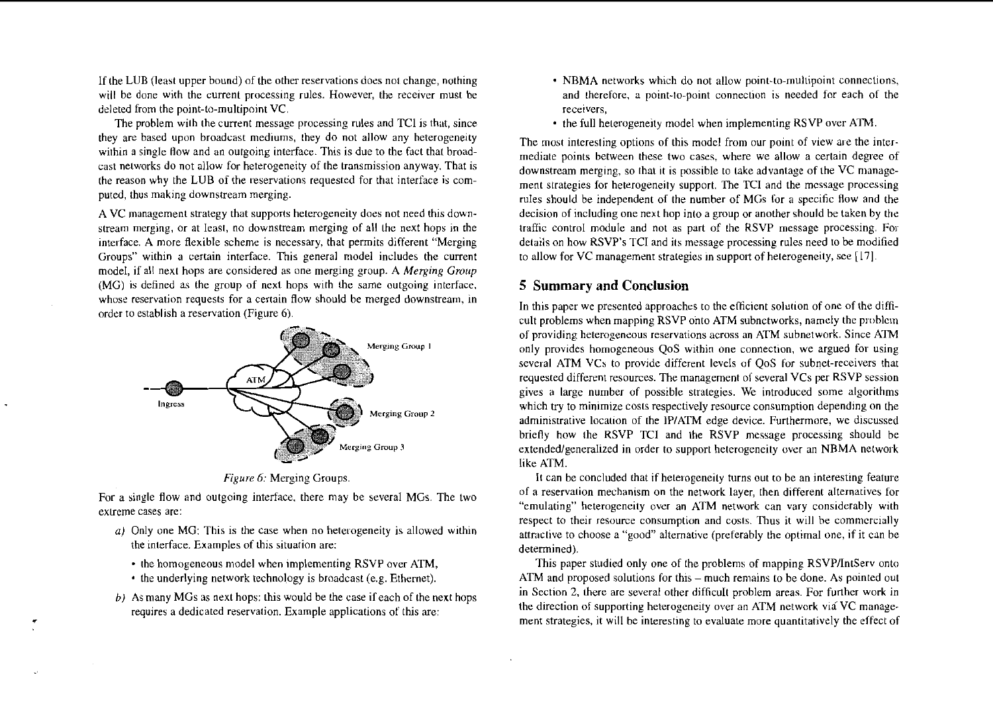If the LUB (least upper hound) of the other reservdtions does not change, nothing will be done with the current processing rules. However, the receiver must be deleted from the point-to-multipoint VC.

The problem with the current message processing rules and TC1 is that, since they are based upon broadcast mediums, they do not allow any heterogeneity within a single flow and an outgoing interface. This is due to the fact that broad-Cast networks do not allow for heterogeneity of the transmission anyway. That is the reason why the LUB of the ieservations requested for that interface is computed, thus making downstream merging.

A VC management strategy that supports heterogeneity does not need this downstream merging, or at least, no downstream merging of all the next hops in the interface. A more flexible scheme is necessary, that permits different "Merging Groups" within a certain interface. This general niodel includes the current model, if all next hops are considered as one merging group. A *Merging Group* (MG) is defined as the group of next hops with the same outgoing interface. whose reservation requests for a certain flow should be merged downstream, in order io estahlish a reservation (Figure 6).



*Figure* 6: Merging Groups.

For a sinzle flow and outgoing interface, there may be several MGs. The two extreme cases are:

- *a*) Only one MG: This is the case when no heterogeneity is allowed within the interface. Examples of this situation are:
	- the homogeneous model when implementing RSVP over ATM,
	- $\cdot$  the underlying network technology is broadcast (e.g. Ethernet).
- b) As many MGs as next hops: this would be the case if each of the next hops requires a dedicated reservation. Example applications of this are:
- NBMA networks which do not allow point-to-multipoint connections, and therefore, a point-to-point connection is needed for each of the receivers,
- the full heterogeneity model when implementing RSVP over ATM.

The most interesting options of this model from our point of view are the intermediate points between these two cases, where we allow a certain degree of downstream merging, so that it is possible to take advantage of the VC management strategies for heterogeneity support. The TC1 and the mcssage processing rules should be independent of the number of MGs for a specific flow and the decision of including one next hop into a group or another should be taken by the traffic control module and not as part of the RSVP message processing. For detaiis on how RSVP's TC1 and iis message processing rules need to be modified to allow for VC management strategies in support of heterogeneity, see  $[17]$ .

# **5 Summary and Conclusion**

In this paper we presented approaches to the efficient solution of one of the difficult problems when mapping RSVP onto ATM subnetworks, namely the problem of providing heterogeneous reservaiions across an ATM subnetwork. Since ATM only provides homogeneous QoS within one connection. we argued for using several ATM VCs to provide different levels of QoS for subnet-receivers that requested different resources. The managernent ol several VCs per RSVP session gives a large number of possible strategies. We introduced some algorithms which try to minimize costs respectively resource consumption depending on the administrative location of the IPIATM edge device. Furtherrnore, we discussed briefly how the RSVP TC1 and the RSVP message processing should be extended/generalized in order to support heterogeneity over an NBMA network like ATM.

It can be concluded that if heterogeneity turns out to be an interesting feature of a reservation mechanism on the network layer, rhen different alternatives for "emulating" heterogeneity over an ATM network can vary considerably with respect to their resource consumption and costs. Thus it will he commcrcially attractive to choose a "good" alternative (preferably the optimal one, if it can be determined).

This paper studied only one of the problems of mapping RSVPlIntServ onto ATM and proposed solutions for this – much remains to be done. As pointed out in Section 2, here are several other difficult problem areas. For funher work in the direction of supporting heterogeneity over an ATM network via VC management strategies, it will be interesting to evaluate more quantitatively the clfect of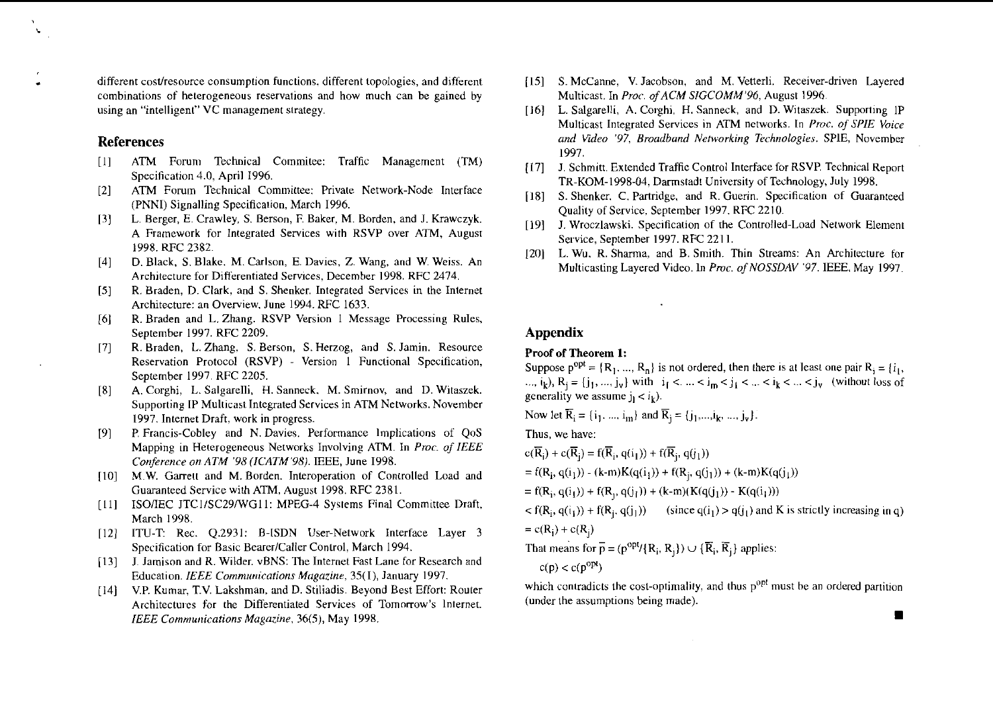different cost/resource consumption functions, different topologies, and different [15] S. McCanne, V. Jacobson, and M. Vetterli. Receiver-driven Layered combinations of heterogeneous reservations and how much can be gaine combinations of heterogeneous reservations and how much can be gained by using an "intelligent" VC management strategy. The same of the strategy and D. Witaszek. Supporting IP

 $\mathbf{h}_\mathbf{r}$ 

- $[1]$ ATM Forum Technical Commitee: Traffic Management (TM) Specification 4.0, April 1996.
- ATM Forum Technical Committee: Private Network-Node Interface  $\lceil 2 \rceil$ (PNNI) Signalling Specificaiion, March 1996.
- L. Berger, E. Crawley, S. Berson, F. Baker, M. Borden, and J. Krawczyk.  $[3]$ A Frarnework for Integrated Services with RSVP over ATM, August 1998. RFC 2382.
- D. Black, S. Blake, M. Carlson, E. Davies, Z. Wang, and W. Weiss. An  $[4]$ Architecture for Differentiated Services. December 1998. RFC 2474.
- R. Braden, D. Clark, and S. Shenker. Integrated Services in the Internet  $\lceil 5 \rceil$ Architecture: an Overview, June 1994. RFC 1633.
- R. Braden and L. Zhang. RSVP Version I Message Processing RuIes, T61. September 1997. RFC 2209.
- R. Braden. L. Zhang. S. Berson, S. Herzog, and S. Jamin. Resource  $\overline{171}$ Reservation Protocol (RSVP) - Version I Functional Spccification, September 1997. RFC 2205.
- **A.** Corghi. L. SalgareIli. H. Sanneck. M. Smirnov, and D. Witaszek.  $\overline{181}$ Supporting IP Multicast Integrated Services in ATM Networks. November 1997. Internet Draft, work in progress.
- P. Francis-Cobley and N. Davies. Performance Implications of QoS  $[9]$ Mapping in Heterogeneous NeLworks Involving ATM. In *Pmc of IEEE*  Conference on ATM '98 (ICATM'98). IEEE, June 1998.
- [10] M.W. Garrett and M. Borden. Interoperation of Controlled Load and Guaranteed Service with ATM, August 1998. RFC 2381.
- [11] ISO/IEC JTC1/SC29/WG11: MPEG-4 Systems Final Committee Draft, March 1998.
- ITU-T: Rec. 4.2931: B-ISDN User-Network Interface Layer 3 Specification for Basic Bearer/Caller Control, March 1994.
- J. Jamison and R. Wilder. vBNS: The Internet Fast Lane for Research and Education. *IEEE Communications Magazine*, 35(I), January 1997.
- VP. Kumar, TV. Lakshman, and D. Stiliadis. Beyond Best Effort: Router Architectures for the Differentiated Services of Tomorrow's Internet. *IEEE Communications Magazine*, 36(5), May 1998.
- 
- Multicast Integrated Services in ATM networks. In *Proc. of SPIE Voice*  **References** *and Video '97, Broadband Networking Technologies.* **SPIE, November** 1997.
	- [17] J. Schmitt. Extended Traffic Control Interface for RSVP. Technical Report TR-KOM-1998-04, Damstadt University of Technology, July 1998.
	- [18] S. Shenker. C. Partridge. and R. Guerin. Specification of Guaranteed Quality of Service, September 1997. RFC 2210.
	- [19] J. Wroczlawski. Specification of the Controlled-Load Network Element Service, September 1997. RFC 221 1
	- [20] L. Wu, R. Sharma, and B. Smith. Thin Streams: An Architecture for Multicasting Layered Video. In *Pmc. of NOSSDAV '97.* IEEE. May 1997.

### **Appendix**

#### **Proof of Theorem 1:**

Suppose  $p^{opt} = \{R_1, ..., R_n\}$  is not ordered, then there is at least one pair  $R_i = \{i_1,$ ...,  $i_k$ ),  $R_i = \{j_1, ..., j_v\}$  with  $i_1 < ... < j_m < j_i < ... < i_k < ... < j_v$  (without loss of generality we assume  $j_1 < i_k$ ).

Now let  $\overline{R}_i = \{i_1, ..., i_m\}$  and  $\overline{R}_i = \{j_1, ..., j_k, ..., j_v\}$ .

Thus, we have:

$$
c(\overline{R}_{i}) + c(\overline{R}_{i}) = f(\overline{R}_{i}, q(i_1)) + f(\overline{R}_{i}, q(j_1))
$$

 $= f(R_i, q(i_1)) - (k-m)K(q(i_1)) + f(R_i, q(j_1)) + (k-m)K(q(j_1))$ 

 $= f(R_i, q(i_1)) + f(R_i, q(j_1)) + (k-m)(K(q(j_1)) - K(q(i_1)))$ 

- $\langle f(R_i, q(i_1)) + f(R_i, q(j_1)) \rangle$  (since  $q(i_1) > q(j_1)$  and K is strictly increasing in q)
- = c(R<sub>i</sub>) + c(R<sub>j</sub>)<br>That means for  $\bar{p} = (p^{opt}/\{R_i, R_i\}) \cup {\{\overline{R}_i, \overline{R}_i\}}$  applies:

 $c(p) < c(p^{opt})$ 

which contradicts the cost-optimality, and thus  $p^{opt}$  must be an ordered partition (under lhe assumptions being made).